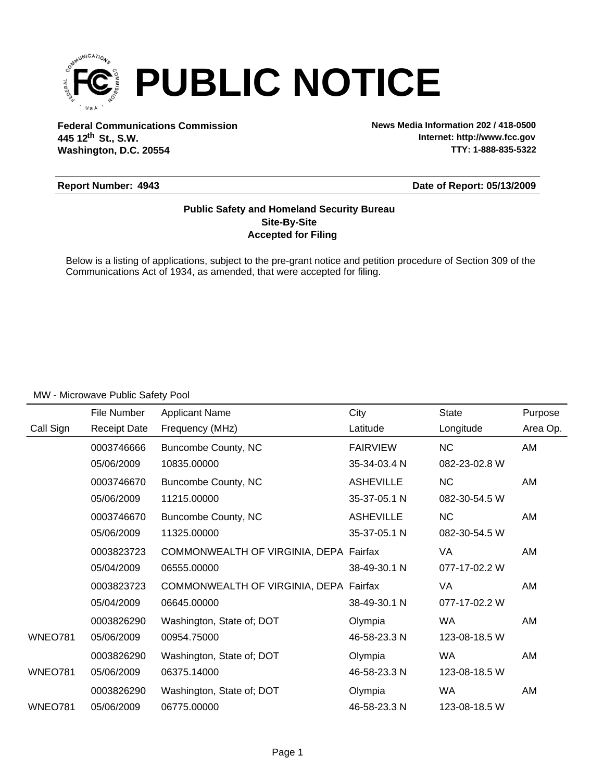

**Federal Communications Commission News Media Information 202 / 418-0500 Washington, D.C. 20554 th 445 12 St., S.W.**

**Internet: http://www.fcc.gov TTY: 1-888-835-5322**

### **Report Number: 4943**

**Date of Report: 05/13/2009**

### **Accepted for Filing Site-By-Site Public Safety and Homeland Security Bureau**

Below is a listing of applications, subject to the pre-grant notice and petition procedure of Section 309 of the Communications Act of 1934, as amended, that were accepted for filing.

|                | File Number         | <b>Applicant Name</b>                  | City             | <b>State</b>  | Purpose  |
|----------------|---------------------|----------------------------------------|------------------|---------------|----------|
| Call Sign      | <b>Receipt Date</b> | Frequency (MHz)                        | Latitude         | Longitude     | Area Op. |
|                | 0003746666          | Buncombe County, NC                    | <b>FAIRVIEW</b>  | <b>NC</b>     | AM       |
|                | 05/06/2009          | 10835.00000                            | 35-34-03.4 N     | 082-23-02.8 W |          |
|                | 0003746670          | Buncombe County, NC                    | <b>ASHEVILLE</b> | <b>NC</b>     | AM       |
|                | 05/06/2009          | 11215.00000                            | 35-37-05.1 N     | 082-30-54.5 W |          |
|                | 0003746670          | Buncombe County, NC                    | <b>ASHEVILLE</b> | <b>NC</b>     | AM       |
|                | 05/06/2009          | 11325.00000                            | 35-37-05.1 N     | 082-30-54.5 W |          |
|                | 0003823723          | COMMONWEALTH OF VIRGINIA, DEPA Fairfax |                  | VA            | AM       |
|                | 05/04/2009          | 06555.00000                            | 38-49-30.1 N     | 077-17-02.2 W |          |
|                | 0003823723          | COMMONWEALTH OF VIRGINIA, DEPA Fairfax |                  | VA            | AM       |
|                | 05/04/2009          | 06645.00000                            | 38-49-30.1 N     | 077-17-02.2 W |          |
|                | 0003826290          | Washington, State of; DOT              | Olympia          | <b>WA</b>     | AM       |
| <b>WNEO781</b> | 05/06/2009          | 00954.75000                            | 46-58-23.3 N     | 123-08-18.5 W |          |
|                | 0003826290          | Washington, State of; DOT              | Olympia          | WA            | AM       |
| <b>WNEO781</b> | 05/06/2009          | 06375.14000                            | 46-58-23.3 N     | 123-08-18.5 W |          |
|                | 0003826290          | Washington, State of; DOT              | Olympia          | WA            | AM       |
| <b>WNEO781</b> | 05/06/2009          | 06775.00000                            | 46-58-23.3 N     | 123-08-18.5 W |          |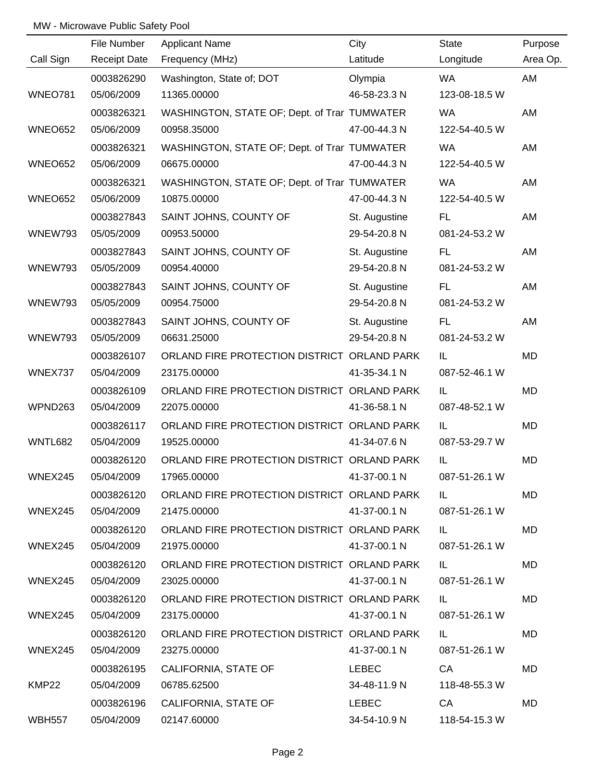|                | File Number         | <b>Applicant Name</b>                        | City          | <b>State</b>  | Purpose   |
|----------------|---------------------|----------------------------------------------|---------------|---------------|-----------|
| Call Sign      | <b>Receipt Date</b> | Frequency (MHz)                              | Latitude      | Longitude     | Area Op.  |
|                | 0003826290          | Washington, State of; DOT                    | Olympia       | WA            | AM        |
| <b>WNEO781</b> | 05/06/2009          | 11365.00000                                  | 46-58-23.3 N  | 123-08-18.5 W |           |
|                | 0003826321          | WASHINGTON, STATE OF; Dept. of Trar TUMWATER |               | <b>WA</b>     | AM        |
| <b>WNEO652</b> | 05/06/2009          | 00958.35000                                  | 47-00-44.3 N  | 122-54-40.5 W |           |
|                | 0003826321          | WASHINGTON, STATE OF; Dept. of Trar TUMWATER |               | <b>WA</b>     | AM        |
| <b>WNEO652</b> | 05/06/2009          | 06675.00000                                  | 47-00-44.3 N  | 122-54-40.5 W |           |
|                | 0003826321          | WASHINGTON, STATE OF; Dept. of Trar TUMWATER |               | <b>WA</b>     | AM        |
| <b>WNEO652</b> | 05/06/2009          | 10875.00000                                  | 47-00-44.3 N  | 122-54-40.5 W |           |
|                | 0003827843          | SAINT JOHNS, COUNTY OF                       | St. Augustine | FL.           | AM        |
| WNEW793        | 05/05/2009          | 00953.50000                                  | 29-54-20.8 N  | 081-24-53.2 W |           |
|                | 0003827843          | SAINT JOHNS, COUNTY OF                       | St. Augustine | FL.           | AM        |
| WNEW793        | 05/05/2009          | 00954.40000                                  | 29-54-20.8 N  | 081-24-53.2 W |           |
|                | 0003827843          | SAINT JOHNS, COUNTY OF                       | St. Augustine | FL.           | AM        |
| WNEW793        | 05/05/2009          | 00954.75000                                  | 29-54-20.8 N  | 081-24-53.2 W |           |
|                | 0003827843          | SAINT JOHNS, COUNTY OF                       | St. Augustine | FL.           | AM        |
| WNEW793        | 05/05/2009          | 06631.25000                                  | 29-54-20.8 N  | 081-24-53.2 W |           |
|                | 0003826107          | ORLAND FIRE PROTECTION DISTRICT ORLAND PARK  |               | IL            | MD        |
| WNEX737        | 05/04/2009          | 23175.00000                                  | 41-35-34.1 N  | 087-52-46.1 W |           |
|                | 0003826109          | ORLAND FIRE PROTECTION DISTRICT ORLAND PARK  |               | IL            | MD        |
| WPND263        | 05/04/2009          | 22075.00000                                  | 41-36-58.1 N  | 087-48-52.1 W |           |
|                | 0003826117          | ORLAND FIRE PROTECTION DISTRICT ORLAND PARK  |               | IL            | MD        |
| WNTL682        | 05/04/2009          | 19525.00000                                  | 41-34-07.6 N  | 087-53-29.7 W |           |
|                | 0003826120          | ORLAND FIRE PROTECTION DISTRICT ORLAND PARK  |               | IL            | MD        |
| WNEX245        | 05/04/2009          | 17965.00000                                  | 41-37-00.1 N  | 087-51-26.1 W |           |
|                | 0003826120          | ORLAND FIRE PROTECTION DISTRICT ORLAND PARK  |               | IL.           | MD        |
| WNEX245        | 05/04/2009          | 21475.00000                                  | 41-37-00.1 N  | 087-51-26.1 W |           |
|                | 0003826120          | ORLAND FIRE PROTECTION DISTRICT ORLAND PARK  |               | IL.           | MD        |
| WNEX245        | 05/04/2009          | 21975.00000                                  | 41-37-00.1 N  | 087-51-26.1 W |           |
|                | 0003826120          | ORLAND FIRE PROTECTION DISTRICT ORLAND PARK  |               | IL.           | <b>MD</b> |
| WNEX245        | 05/04/2009          | 23025.00000                                  | 41-37-00.1 N  | 087-51-26.1 W |           |
|                | 0003826120          | ORLAND FIRE PROTECTION DISTRICT ORLAND PARK  |               | IL.           | MD        |
| WNEX245        | 05/04/2009          | 23175.00000                                  | 41-37-00.1 N  | 087-51-26.1 W |           |
|                | 0003826120          | ORLAND FIRE PROTECTION DISTRICT ORLAND PARK  |               | IL.           | MD        |
| WNEX245        | 05/04/2009          | 23275.00000                                  | 41-37-00.1 N  | 087-51-26.1 W |           |
|                | 0003826195          | CALIFORNIA, STATE OF                         | LEBEC         | CA            | MD        |
| KMP22          | 05/04/2009          | 06785.62500                                  | 34-48-11.9 N  | 118-48-55.3 W |           |
|                | 0003826196          | CALIFORNIA, STATE OF                         | LEBEC         | CA            | MD        |
| <b>WBH557</b>  | 05/04/2009          | 02147.60000                                  | 34-54-10.9 N  | 118-54-15.3 W |           |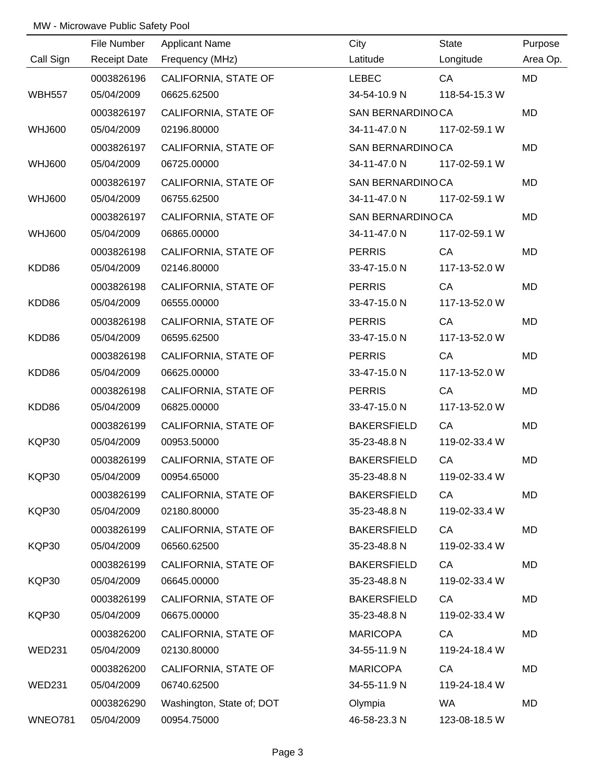|               | File Number         | <b>Applicant Name</b>     | City               | State         | Purpose   |
|---------------|---------------------|---------------------------|--------------------|---------------|-----------|
| Call Sign     | <b>Receipt Date</b> | Frequency (MHz)           | Latitude           | Longitude     | Area Op.  |
|               | 0003826196          | CALIFORNIA, STATE OF      | <b>LEBEC</b>       | CA            | <b>MD</b> |
| <b>WBH557</b> | 05/04/2009          | 06625.62500               | 34-54-10.9 N       | 118-54-15.3 W |           |
|               | 0003826197          | CALIFORNIA, STATE OF      | SAN BERNARDINO CA  |               | <b>MD</b> |
| WHJ600        | 05/04/2009          | 02196.80000               | 34-11-47.0 N       | 117-02-59.1 W |           |
|               | 0003826197          | CALIFORNIA, STATE OF      | SAN BERNARDINO CA  |               | MD        |
| <b>WHJ600</b> | 05/04/2009          | 06725.00000               | 34-11-47.0 N       | 117-02-59.1 W |           |
|               | 0003826197          | CALIFORNIA, STATE OF      | SAN BERNARDINOCA   |               | MD        |
| WHJ600        | 05/04/2009          | 06755.62500               | 34-11-47.0 N       | 117-02-59.1 W |           |
|               | 0003826197          | CALIFORNIA, STATE OF      | SAN BERNARDINO CA  |               | MD        |
| <b>WHJ600</b> | 05/04/2009          | 06865.00000               | 34-11-47.0 N       | 117-02-59.1 W |           |
|               | 0003826198          | CALIFORNIA, STATE OF      | <b>PERRIS</b>      | CA            | MD        |
| KDD86         | 05/04/2009          | 02146.80000               | 33-47-15.0 N       | 117-13-52.0 W |           |
|               | 0003826198          | CALIFORNIA, STATE OF      | <b>PERRIS</b>      | CA            | MD        |
| KDD86         | 05/04/2009          | 06555.00000               | 33-47-15.0 N       | 117-13-52.0 W |           |
|               | 0003826198          | CALIFORNIA, STATE OF      | <b>PERRIS</b>      | CA            | MD        |
| KDD86         | 05/04/2009          | 06595.62500               | 33-47-15.0 N       | 117-13-52.0 W |           |
|               | 0003826198          | CALIFORNIA, STATE OF      | <b>PERRIS</b>      | CA            | MD        |
| KDD86         | 05/04/2009          | 06625.00000               | 33-47-15.0 N       | 117-13-52.0 W |           |
|               | 0003826198          | CALIFORNIA, STATE OF      | <b>PERRIS</b>      | CA            | MD        |
| KDD86         | 05/04/2009          | 06825.00000               | 33-47-15.0 N       | 117-13-52.0 W |           |
|               | 0003826199          | CALIFORNIA, STATE OF      | <b>BAKERSFIELD</b> | CA            | MD        |
| KQP30         | 05/04/2009          | 00953.50000               | 35-23-48.8 N       | 119-02-33.4 W |           |
|               | 0003826199          | CALIFORNIA, STATE OF      | <b>BAKERSFIELD</b> | CA            | MD        |
| KQP30         | 05/04/2009          | 00954.65000               | 35-23-48.8 N       | 119-02-33.4 W |           |
|               | 0003826199          | CALIFORNIA, STATE OF      | <b>BAKERSFIELD</b> | CA            | MD        |
| KQP30         | 05/04/2009          | 02180.80000               | 35-23-48.8 N       | 119-02-33.4 W |           |
|               | 0003826199          | CALIFORNIA, STATE OF      | <b>BAKERSFIELD</b> | CA            | MD        |
| KQP30         | 05/04/2009          | 06560.62500               | 35-23-48.8 N       | 119-02-33.4 W |           |
|               | 0003826199          | CALIFORNIA, STATE OF      | <b>BAKERSFIELD</b> | CA            | MD        |
| KQP30         | 05/04/2009          | 06645.00000               | 35-23-48.8 N       | 119-02-33.4 W |           |
|               | 0003826199          | CALIFORNIA, STATE OF      | <b>BAKERSFIELD</b> | CA            | MD        |
| KQP30         | 05/04/2009          | 06675.00000               | 35-23-48.8 N       | 119-02-33.4 W |           |
|               | 0003826200          | CALIFORNIA, STATE OF      | <b>MARICOPA</b>    | CA            | MD        |
| <b>WED231</b> | 05/04/2009          | 02130.80000               | 34-55-11.9 N       | 119-24-18.4 W |           |
|               | 0003826200          | CALIFORNIA, STATE OF      | <b>MARICOPA</b>    | CA            | MD        |
| WED231        | 05/04/2009          | 06740.62500               | 34-55-11.9 N       | 119-24-18.4 W |           |
|               | 0003826290          | Washington, State of; DOT | Olympia            | <b>WA</b>     | MD        |
| WNEO781       | 05/04/2009          | 00954.75000               | 46-58-23.3 N       | 123-08-18.5 W |           |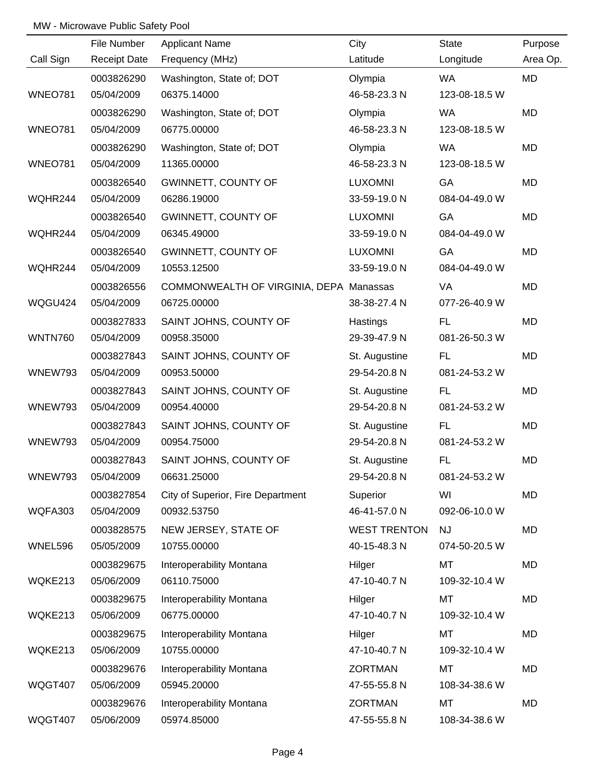|                | File Number         | <b>Applicant Name</b>                   | City                | <b>State</b>  | Purpose   |
|----------------|---------------------|-----------------------------------------|---------------------|---------------|-----------|
| Call Sign      | <b>Receipt Date</b> | Frequency (MHz)                         | Latitude            | Longitude     | Area Op.  |
|                | 0003826290          | Washington, State of; DOT               | Olympia             | <b>WA</b>     | MD        |
| <b>WNEO781</b> | 05/04/2009          | 06375.14000                             | 46-58-23.3 N        | 123-08-18.5 W |           |
|                | 0003826290          | Washington, State of; DOT               | Olympia             | <b>WA</b>     | <b>MD</b> |
| <b>WNEO781</b> | 05/04/2009          | 06775.00000                             | 46-58-23.3 N        | 123-08-18.5 W |           |
|                | 0003826290          | Washington, State of; DOT               | Olympia             | <b>WA</b>     | <b>MD</b> |
| <b>WNEO781</b> | 05/04/2009          | 11365.00000                             | 46-58-23.3 N        | 123-08-18.5 W |           |
|                | 0003826540          | GWINNETT, COUNTY OF                     | <b>LUXOMNI</b>      | GA            | MD        |
| WQHR244        | 05/04/2009          | 06286.19000                             | 33-59-19.0 N        | 084-04-49.0 W |           |
|                | 0003826540          | <b>GWINNETT, COUNTY OF</b>              | <b>LUXOMNI</b>      | GA            | MD        |
| WQHR244        | 05/04/2009          | 06345.49000                             | 33-59-19.0 N        | 084-04-49.0 W |           |
|                | 0003826540          | GWINNETT, COUNTY OF                     | <b>LUXOMNI</b>      | GA            | MD        |
| WQHR244        | 05/04/2009          | 10553.12500                             | 33-59-19.0 N        | 084-04-49.0 W |           |
|                | 0003826556          | COMMONWEALTH OF VIRGINIA, DEPA Manassas |                     | VA            | MD        |
| WQGU424        | 05/04/2009          | 06725.00000                             | 38-38-27.4 N        | 077-26-40.9 W |           |
|                | 0003827833          | SAINT JOHNS, COUNTY OF                  | Hastings            | <b>FL</b>     | <b>MD</b> |
| <b>WNTN760</b> | 05/04/2009          | 00958.35000                             | 29-39-47.9 N        | 081-26-50.3 W |           |
|                | 0003827843          | SAINT JOHNS, COUNTY OF                  | St. Augustine       | FL.           | MD        |
| WNEW793        | 05/04/2009          | 00953.50000                             | 29-54-20.8 N        | 081-24-53.2 W |           |
|                | 0003827843          | SAINT JOHNS, COUNTY OF                  | St. Augustine       | FL.           | MD        |
| WNEW793        | 05/04/2009          | 00954.40000                             | 29-54-20.8 N        | 081-24-53.2 W |           |
|                | 0003827843          | SAINT JOHNS, COUNTY OF                  | St. Augustine       | FL.           | MD        |
| WNEW793        | 05/04/2009          | 00954.75000                             | 29-54-20.8 N        | 081-24-53.2 W |           |
|                | 0003827843          | SAINT JOHNS, COUNTY OF                  | St. Augustine       | <b>FL</b>     | MD        |
| WNEW793        | 05/04/2009          | 06631.25000                             | 29-54-20.8 N        | 081-24-53.2 W |           |
|                | 0003827854          | City of Superior, Fire Department       | Superior            | WI            | MD        |
| WQFA303        | 05/04/2009          | 00932.53750                             | 46-41-57.0 N        | 092-06-10.0 W |           |
|                | 0003828575          | NEW JERSEY, STATE OF                    | <b>WEST TRENTON</b> | <b>NJ</b>     | MD        |
| WNEL596        | 05/05/2009          | 10755.00000                             | 40-15-48.3 N        | 074-50-20.5 W |           |
|                | 0003829675          | Interoperability Montana                | Hilger              | <b>MT</b>     | MD        |
| WQKE213        | 05/06/2009          | 06110.75000                             | 47-10-40.7 N        | 109-32-10.4 W |           |
|                | 0003829675          | Interoperability Montana                | Hilger              | MT            | MD        |
| WQKE213        | 05/06/2009          | 06775.00000                             | 47-10-40.7 N        | 109-32-10.4 W |           |
|                | 0003829675          | Interoperability Montana                | Hilger              | MT            | MD        |
| WQKE213        | 05/06/2009          | 10755.00000                             | 47-10-40.7 N        | 109-32-10.4 W |           |
|                | 0003829676          | Interoperability Montana                | <b>ZORTMAN</b>      | MT            | MD        |
| WQGT407        | 05/06/2009          | 05945.20000                             | 47-55-55.8 N        | 108-34-38.6 W |           |
|                | 0003829676          | Interoperability Montana                | <b>ZORTMAN</b>      | MT            | MD        |
| WQGT407        | 05/06/2009          | 05974.85000                             | 47-55-55.8 N        | 108-34-38.6 W |           |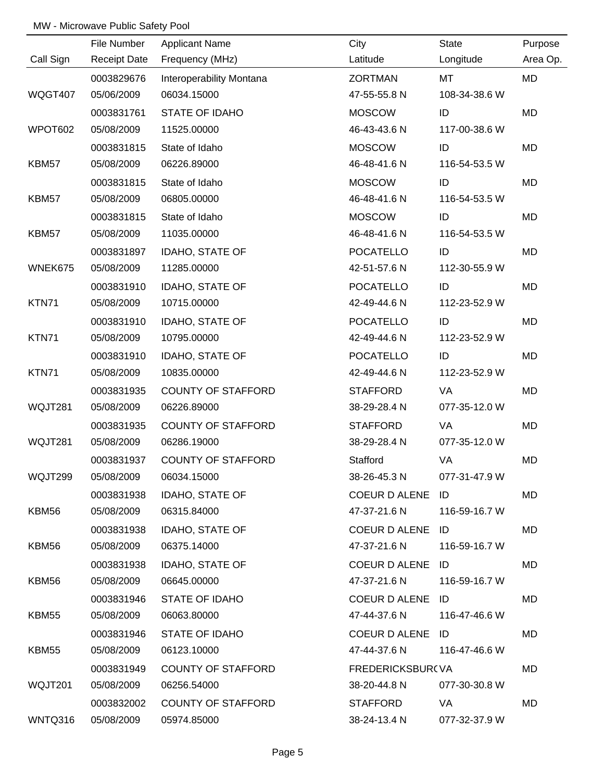|                | File Number         | <b>Applicant Name</b>     | City             | <b>State</b>  | Purpose   |
|----------------|---------------------|---------------------------|------------------|---------------|-----------|
| Call Sign      | <b>Receipt Date</b> | Frequency (MHz)           | Latitude         | Longitude     | Area Op.  |
|                | 0003829676          | Interoperability Montana  | <b>ZORTMAN</b>   | MT            | MD        |
| <b>WQGT407</b> | 05/06/2009          | 06034.15000               | 47-55-55.8 N     | 108-34-38.6 W |           |
|                | 0003831761          | <b>STATE OF IDAHO</b>     | <b>MOSCOW</b>    | ID            | <b>MD</b> |
| WPOT602        | 05/08/2009          | 11525.00000               | 46-43-43.6 N     | 117-00-38.6 W |           |
|                | 0003831815          | State of Idaho            | <b>MOSCOW</b>    | ID            | MD        |
| KBM57          | 05/08/2009          | 06226.89000               | 46-48-41.6 N     | 116-54-53.5 W |           |
|                | 0003831815          | State of Idaho            | <b>MOSCOW</b>    | ID            | MD        |
| KBM57          | 05/08/2009          | 06805.00000               | 46-48-41.6 N     | 116-54-53.5 W |           |
|                | 0003831815          | State of Idaho            | <b>MOSCOW</b>    | ID            | MD        |
| KBM57          | 05/08/2009          | 11035.00000               | 46-48-41.6 N     | 116-54-53.5 W |           |
|                | 0003831897          | <b>IDAHO, STATE OF</b>    | <b>POCATELLO</b> | ID            | MD        |
| WNEK675        | 05/08/2009          | 11285.00000               | 42-51-57.6 N     | 112-30-55.9 W |           |
|                | 0003831910          | IDAHO, STATE OF           | <b>POCATELLO</b> | ID            | MD        |
| KTN71          | 05/08/2009          | 10715.00000               | 42-49-44.6 N     | 112-23-52.9 W |           |
|                | 0003831910          | IDAHO, STATE OF           | <b>POCATELLO</b> | ID            | MD        |
| KTN71          | 05/08/2009          | 10795.00000               | 42-49-44.6 N     | 112-23-52.9 W |           |
|                | 0003831910          | IDAHO, STATE OF           | <b>POCATELLO</b> | ID            | MD        |
| KTN71          | 05/08/2009          | 10835.00000               | 42-49-44.6 N     | 112-23-52.9 W |           |
|                | 0003831935          | <b>COUNTY OF STAFFORD</b> | <b>STAFFORD</b>  | VA            | MD        |
| WQJT281        | 05/08/2009          | 06226.89000               | 38-29-28.4 N     | 077-35-12.0 W |           |
|                | 0003831935          | <b>COUNTY OF STAFFORD</b> | <b>STAFFORD</b>  | VA            | MD        |
| WQJT281        | 05/08/2009          | 06286.19000               | 38-29-28.4 N     | 077-35-12.0 W |           |
|                | 0003831937          | <b>COUNTY OF STAFFORD</b> | Stafford         | VA            | MD        |
| WQJT299        | 05/08/2009          | 06034.15000               | 38-26-45.3 N     | 077-31-47.9 W |           |
|                | 0003831938          | IDAHO, STATE OF           | COEUR D ALENE ID |               | MD        |
| KBM56          | 05/08/2009          | 06315.84000               | 47-37-21.6 N     | 116-59-16.7 W |           |
|                | 0003831938          | IDAHO, STATE OF           | COEUR D ALENE ID |               | MD        |
| KBM56          | 05/08/2009          | 06375.14000               | 47-37-21.6 N     | 116-59-16.7 W |           |
|                | 0003831938          | IDAHO, STATE OF           | COEUR D ALENE ID |               | MD        |
| KBM56          | 05/08/2009          | 06645.00000               | 47-37-21.6 N     | 116-59-16.7 W |           |
|                | 0003831946          | STATE OF IDAHO            | COEUR D ALENE ID |               | MD        |
| KBM55          | 05/08/2009          | 06063.80000               | 47-44-37.6 N     | 116-47-46.6 W |           |
|                | 0003831946          | STATE OF IDAHO            | COEUR D ALENE ID |               | MD        |
| KBM55          | 05/08/2009          | 06123.10000               | 47-44-37.6 N     | 116-47-46.6 W |           |
|                | 0003831949          | <b>COUNTY OF STAFFORD</b> | FREDERICKSBUR(VA |               | MD        |
| WQJT201        | 05/08/2009          | 06256.54000               | 38-20-44.8 N     | 077-30-30.8 W |           |
|                | 0003832002          | <b>COUNTY OF STAFFORD</b> | STAFFORD         | VA            | MD        |
| WNTQ316        | 05/08/2009          | 05974.85000               | 38-24-13.4 N     | 077-32-37.9 W |           |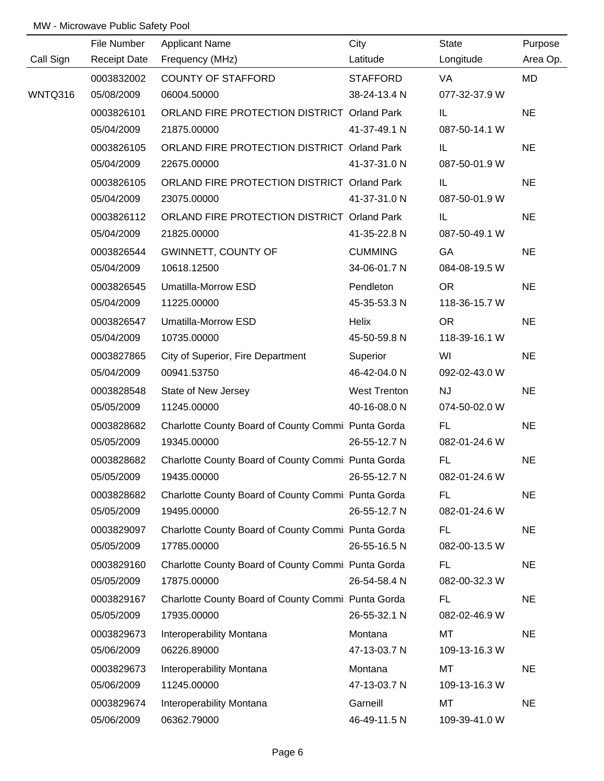|           | File Number         | <b>Applicant Name</b>                              | City                | <b>State</b>  | Purpose   |
|-----------|---------------------|----------------------------------------------------|---------------------|---------------|-----------|
| Call Sign | <b>Receipt Date</b> | Frequency (MHz)                                    | Latitude            | Longitude     | Area Op.  |
|           | 0003832002          | <b>COUNTY OF STAFFORD</b>                          | <b>STAFFORD</b>     | VA            | MD        |
| WNTQ316   | 05/08/2009          | 06004.50000                                        | 38-24-13.4 N        | 077-32-37.9 W |           |
|           | 0003826101          | ORLAND FIRE PROTECTION DISTRICT Orland Park        |                     | IL            | <b>NE</b> |
|           | 05/04/2009          | 21875.00000                                        | 41-37-49.1 N        | 087-50-14.1 W |           |
|           | 0003826105          | ORLAND FIRE PROTECTION DISTRICT Orland Park        |                     | IL.           | <b>NE</b> |
|           | 05/04/2009          | 22675.00000                                        | 41-37-31.0 N        | 087-50-01.9 W |           |
|           | 0003826105          | ORLAND FIRE PROTECTION DISTRICT Orland Park        |                     | IL.           | <b>NE</b> |
|           | 05/04/2009          | 23075.00000                                        | 41-37-31.0 N        | 087-50-01.9 W |           |
|           | 0003826112          | ORLAND FIRE PROTECTION DISTRICT Orland Park        |                     | IL.           | <b>NE</b> |
|           | 05/04/2009          | 21825.00000                                        | 41-35-22.8 N        | 087-50-49.1 W |           |
|           | 0003826544          | <b>GWINNETT, COUNTY OF</b>                         | <b>CUMMING</b>      | GA            | <b>NE</b> |
|           | 05/04/2009          | 10618.12500                                        | 34-06-01.7 N        | 084-08-19.5 W |           |
|           | 0003826545          | Umatilla-Morrow ESD                                | Pendleton           | <b>OR</b>     | <b>NE</b> |
|           | 05/04/2009          | 11225.00000                                        | 45-35-53.3 N        | 118-36-15.7 W |           |
|           | 0003826547          | Umatilla-Morrow ESD                                | Helix               | <b>OR</b>     | <b>NE</b> |
|           | 05/04/2009          | 10735.00000                                        | 45-50-59.8 N        | 118-39-16.1 W |           |
|           | 0003827865          | City of Superior, Fire Department                  | Superior            | WI            | <b>NE</b> |
|           | 05/04/2009          | 00941.53750                                        | 46-42-04.0 N        | 092-02-43.0 W |           |
|           | 0003828548          | State of New Jersey                                | <b>West Trenton</b> | NJ            | <b>NE</b> |
|           | 05/05/2009          | 11245.00000                                        | 40-16-08.0 N        | 074-50-02.0 W |           |
|           | 0003828682          | Charlotte County Board of County Commi Punta Gorda |                     | FL.           | <b>NE</b> |
|           | 05/05/2009          | 19345.00000                                        | 26-55-12.7 N        | 082-01-24.6 W |           |
|           | 0003828682          | Charlotte County Board of County Commi Punta Gorda |                     | <b>FL</b>     | <b>NE</b> |
|           | 05/05/2009          | 19435.00000                                        | 26-55-12.7 N        | 082-01-24.6 W |           |
|           | 0003828682          | Charlotte County Board of County Commi Punta Gorda |                     | FL.           | <b>NE</b> |
|           | 05/05/2009          | 19495.00000                                        | 26-55-12.7 N        | 082-01-24.6 W |           |
|           | 0003829097          | Charlotte County Board of County Commi Punta Gorda |                     | <b>FL</b>     | <b>NE</b> |
|           | 05/05/2009          | 17785.00000                                        | 26-55-16.5 N        | 082-00-13.5 W |           |
|           | 0003829160          | Charlotte County Board of County Commi Punta Gorda |                     | <b>FL</b>     | <b>NE</b> |
|           | 05/05/2009          | 17875.00000                                        | 26-54-58.4 N        | 082-00-32.3 W |           |
|           | 0003829167          | Charlotte County Board of County Commi Punta Gorda |                     | <b>FL</b>     | <b>NE</b> |
|           | 05/05/2009          | 17935.00000                                        | 26-55-32.1 N        | 082-02-46.9 W |           |
|           | 0003829673          | Interoperability Montana                           | Montana             | MT            | <b>NE</b> |
|           | 05/06/2009          | 06226.89000                                        | 47-13-03.7 N        | 109-13-16.3 W |           |
|           | 0003829673          | Interoperability Montana                           | Montana             | MT            | <b>NE</b> |
|           | 05/06/2009          | 11245.00000                                        | 47-13-03.7 N        | 109-13-16.3 W |           |
|           | 0003829674          | Interoperability Montana                           | Garneill            | MT            | <b>NE</b> |
|           | 05/06/2009          | 06362.79000                                        | 46-49-11.5 N        | 109-39-41.0 W |           |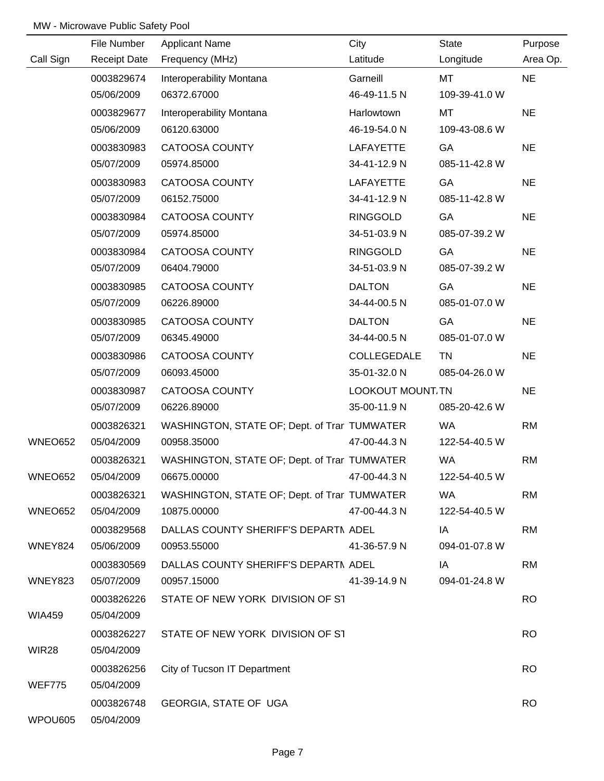|               | File Number         | <b>Applicant Name</b>                        | City              | State         | Purpose   |
|---------------|---------------------|----------------------------------------------|-------------------|---------------|-----------|
| Call Sign     | <b>Receipt Date</b> | Frequency (MHz)                              | Latitude          | Longitude     | Area Op.  |
|               | 0003829674          | Interoperability Montana                     | Garneill          | MT            | <b>NE</b> |
|               | 05/06/2009          | 06372.67000                                  | 46-49-11.5 N      | 109-39-41.0 W |           |
|               | 0003829677          | Interoperability Montana                     | Harlowtown        | <b>MT</b>     | <b>NE</b> |
|               | 05/06/2009          | 06120.63000                                  | 46-19-54.0 N      | 109-43-08.6 W |           |
|               | 0003830983          | CATOOSA COUNTY                               | <b>LAFAYETTE</b>  | GA            | <b>NE</b> |
|               | 05/07/2009          | 05974.85000                                  | 34-41-12.9 N      | 085-11-42.8 W |           |
|               | 0003830983          | CATOOSA COUNTY                               | <b>LAFAYETTE</b>  | GA            | <b>NE</b> |
|               | 05/07/2009          | 06152.75000                                  | 34-41-12.9 N      | 085-11-42.8 W |           |
|               | 0003830984          | <b>CATOOSA COUNTY</b>                        | <b>RINGGOLD</b>   | GA            | <b>NE</b> |
|               | 05/07/2009          | 05974.85000                                  | 34-51-03.9 N      | 085-07-39.2 W |           |
|               | 0003830984          | CATOOSA COUNTY                               | <b>RINGGOLD</b>   | GA            | <b>NE</b> |
|               | 05/07/2009          | 06404.79000                                  | 34-51-03.9 N      | 085-07-39.2 W |           |
|               | 0003830985          | <b>CATOOSA COUNTY</b>                        | <b>DALTON</b>     | GA            | <b>NE</b> |
|               | 05/07/2009          | 06226.89000                                  | 34-44-00.5 N      | 085-01-07.0 W |           |
|               | 0003830985          | <b>CATOOSA COUNTY</b>                        | <b>DALTON</b>     | GA            | <b>NE</b> |
|               | 05/07/2009          | 06345.49000                                  | 34-44-00.5 N      | 085-01-07.0 W |           |
|               | 0003830986          | <b>CATOOSA COUNTY</b>                        | COLLEGEDALE       | <b>TN</b>     | <b>NE</b> |
|               | 05/07/2009          | 06093.45000                                  | 35-01-32.0 N      | 085-04-26.0 W |           |
|               | 0003830987          | CATOOSA COUNTY                               | LOOKOUT MOUNT. TN |               | <b>NE</b> |
|               | 05/07/2009          | 06226.89000                                  | 35-00-11.9 N      | 085-20-42.6 W |           |
|               | 0003826321          | WASHINGTON, STATE OF; Dept. of Trar TUMWATER |                   | <b>WA</b>     | <b>RM</b> |
| WNEO652       | 05/04/2009          | 00958.35000                                  | 47-00-44.3 N      | 122-54-40.5 W |           |
|               | 0003826321          | WASHINGTON, STATE OF; Dept. of Trar TUMWATER |                   | <b>WA</b>     | <b>RM</b> |
| WNEO652       | 05/04/2009          | 06675.00000                                  | 47-00-44.3 N      | 122-54-40.5 W |           |
|               | 0003826321          | WASHINGTON, STATE OF; Dept. of Trar TUMWATER |                   | <b>WA</b>     | <b>RM</b> |
| WNEO652       | 05/04/2009          | 10875.00000                                  | 47-00-44.3 N      | 122-54-40.5 W |           |
|               | 0003829568          | DALLAS COUNTY SHERIFF'S DEPARTN ADEL         |                   | IA            | <b>RM</b> |
| WNEY824       | 05/06/2009          | 00953.55000                                  | 41-36-57.9 N      | 094-01-07.8 W |           |
|               | 0003830569          | DALLAS COUNTY SHERIFF'S DEPARTI ADEL         |                   | IA            | <b>RM</b> |
| WNEY823       | 05/07/2009          | 00957.15000                                  | 41-39-14.9 N      | 094-01-24.8 W |           |
|               | 0003826226          | STATE OF NEW YORK DIVISION OF ST             |                   |               | <b>RO</b> |
| <b>WIA459</b> | 05/04/2009          |                                              |                   |               |           |
|               | 0003826227          | STATE OF NEW YORK DIVISION OF ST             |                   |               | <b>RO</b> |
| WIR28         | 05/04/2009          |                                              |                   |               |           |
|               | 0003826256          | City of Tucson IT Department                 |                   |               | <b>RO</b> |
| WEF775        | 05/04/2009          |                                              |                   |               |           |
|               | 0003826748          | <b>GEORGIA, STATE OF UGA</b>                 |                   |               | <b>RO</b> |
| WPOU605       | 05/04/2009          |                                              |                   |               |           |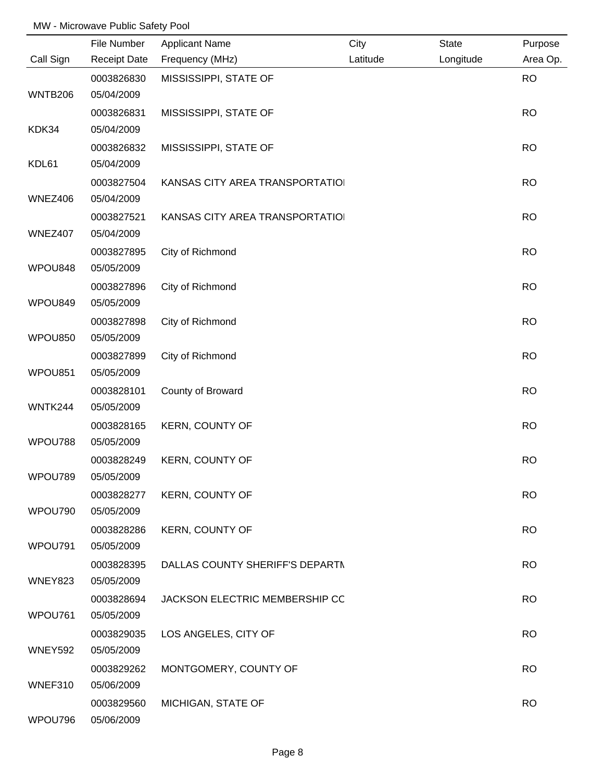|                | File Number         | <b>Applicant Name</b>           | City     | <b>State</b> | Purpose   |
|----------------|---------------------|---------------------------------|----------|--------------|-----------|
| Call Sign      | <b>Receipt Date</b> | Frequency (MHz)                 | Latitude | Longitude    | Area Op.  |
|                | 0003826830          | MISSISSIPPI, STATE OF           |          |              | <b>RO</b> |
| <b>WNTB206</b> | 05/04/2009          |                                 |          |              |           |
|                | 0003826831          | MISSISSIPPI, STATE OF           |          |              | <b>RO</b> |
| KDK34          | 05/04/2009          |                                 |          |              |           |
|                | 0003826832          | MISSISSIPPI, STATE OF           |          |              | <b>RO</b> |
| KDL61          | 05/04/2009          |                                 |          |              |           |
|                | 0003827504          | KANSAS CITY AREA TRANSPORTATIOI |          |              | <b>RO</b> |
| WNEZ406        | 05/04/2009          |                                 |          |              |           |
|                | 0003827521          | KANSAS CITY AREA TRANSPORTATIOI |          |              | <b>RO</b> |
| WNEZ407        | 05/04/2009          |                                 |          |              |           |
|                | 0003827895          | City of Richmond                |          |              | <b>RO</b> |
| WPOU848        | 05/05/2009          |                                 |          |              |           |
|                | 0003827896          | City of Richmond                |          |              | <b>RO</b> |
| WPOU849        | 05/05/2009          |                                 |          |              |           |
|                | 0003827898          | City of Richmond                |          |              | <b>RO</b> |
| WPOU850        | 05/05/2009          |                                 |          |              |           |
|                | 0003827899          | City of Richmond                |          |              | <b>RO</b> |
| WPOU851        | 05/05/2009          |                                 |          |              |           |
|                | 0003828101          | County of Broward               |          |              | <b>RO</b> |
| WNTK244        | 05/05/2009          |                                 |          |              |           |
|                | 0003828165          | <b>KERN, COUNTY OF</b>          |          |              | <b>RO</b> |
| WPOU788        | 05/05/2009          |                                 |          |              |           |
|                | 0003828249          | <b>KERN, COUNTY OF</b>          |          |              | <b>RO</b> |
| WPOU789        | 05/05/2009          |                                 |          |              |           |
|                | 0003828277          | <b>KERN, COUNTY OF</b>          |          |              | <b>RO</b> |
| WPOU790        | 05/05/2009          |                                 |          |              |           |
|                | 0003828286          | KERN, COUNTY OF                 |          |              | <b>RO</b> |
| WPOU791        | 05/05/2009          |                                 |          |              |           |
|                | 0003828395          | DALLAS COUNTY SHERIFF'S DEPARTN |          |              | <b>RO</b> |
| <b>WNEY823</b> | 05/05/2009          |                                 |          |              |           |
|                | 0003828694          | JACKSON ELECTRIC MEMBERSHIP CC  |          |              | <b>RO</b> |
| WPOU761        | 05/05/2009          |                                 |          |              |           |
|                | 0003829035          | LOS ANGELES, CITY OF            |          |              | <b>RO</b> |
| <b>WNEY592</b> | 05/05/2009          |                                 |          |              |           |
|                | 0003829262          | MONTGOMERY, COUNTY OF           |          |              | <b>RO</b> |
| WNEF310        | 05/06/2009          |                                 |          |              |           |
|                | 0003829560          | MICHIGAN, STATE OF              |          |              | <b>RO</b> |
| WPOU796        | 05/06/2009          |                                 |          |              |           |